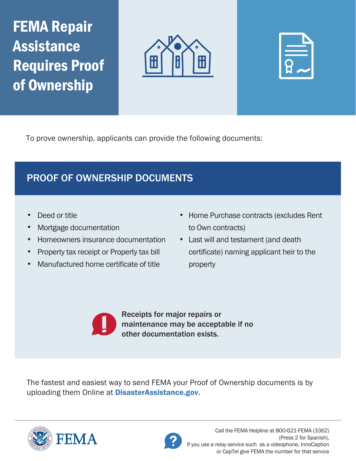FEMA Repair Assistance Requires Proof of Ownership





To prove ownership, applicants can provide the following documents:

## PROOF OF OWNERSHIP DOCUMENTS

- 
- Mortgage documentation to Own contracts)
- Homeowners insurance documentation Last will and testament (and death
- 
- Manufactured home certificate of title property
- **Deed or title Home Purchase contracts (excludes Rent**
- Property tax receipt or Property tax bill certificate) naming applicant heir to the

Receipts for major repairs or maintenance may be acceptable if no other documentation exists.

The fastest and easiest way to send FEMA your Proof of Ownership documents is by uploading them Online at **[DisasterAssistance.gov](https://DisasterAssistance.gov).**